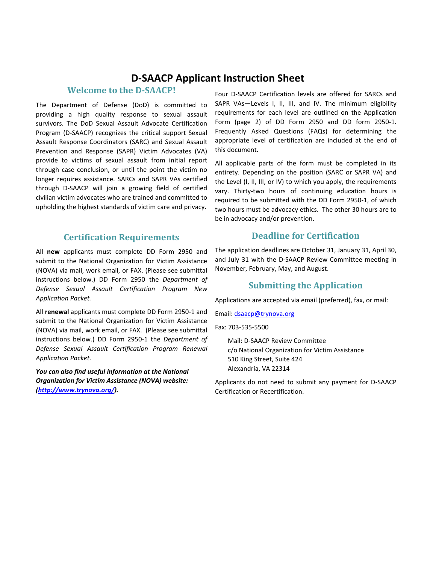## **D-SAACP Applicant Instruction Sheet**

#### **Welcome to the D-SAACP!**

The Department of Defense (DoD) is committed to providing a high quality response to sexual assault survivors. The DoD Sexual Assault Advocate Certification Program (D-SAACP) recognizes the critical support Sexual Assault Response Coordinators (SARC) and Sexual Assault Prevention and Response (SAPR) Victim Advocates (VA) provide to victims of sexual assault from initial report through case conclusion, or until the point the victim no longer requires assistance. SARCs and SAPR VAs certified through D-SAACP will join a growing field of certified civilian victim advocates who are trained and committed to upholding the highest standards of victim care and privacy.

#### **Certification Requirements**

All **new** applicants must complete DD Form 2950 and submit to the National Organization for Victim Assistance (NOVA) via mail, work email, or FAX. (Please see submittal instructions below.) DD Form 2950 the *Department of Defense Sexual Assault Certification Program New Application Packet.* 

All **renewal** applicants must complete DD Form 2950-1 and submit to the National Organization for Victim Assistance (NOVA) via mail, work email, or FAX. (Please see submittal instructions below.) DD Form 2950-1 the *Department of Defense Sexual Assault Certification Program Renewal Application Packet.* 

*You can also find useful information at the National Organization for Victim Assistance (NOVA) website: [\(http://www.trynova.org/\)](http://www.trynova.org/).*

Four D-SAACP Certification levels are offered for SARCs and SAPR VAs-Levels I, II, III, and IV. The minimum eligibility requirements for each level are outlined on the Application Form (page 2) of DD Form 2950 and DD form 2950-1. Frequently Asked Questions (FAQs) for determining the appropriate level of certification are included at the end of this document.

All applicable parts of the form must be completed in its entirety. Depending on the position (SARC or SAPR VA) and the Level (I, II, III, or IV) to which you apply, the requirements vary. Thirty-two hours of continuing education hours is required to be submitted with the DD Form 2950-1, of which two hours must be advocacy ethics. The other 30 hours are to be in advocacy and/or prevention.

#### **Deadline for Certification**

The application deadlines are October 31, January 31, April 30, and July 31 with the D-SAACP Review Committee meeting in November, February, May, and August.

### **Submitting the Application**

Applications are accepted via email (preferred), fax, or mail:

Email: [dsaacp@trynova.org](mailto:dsaacp@trynova.org)

Fax: 703-535-5500

Mail: D-SAACP Review Committee c/o National Organization for Victim Assistance 510 King Street, Suite 424 Alexandria, VA 22314

Applicants do not need to submit any payment for D-SAACP Certification or Recertification.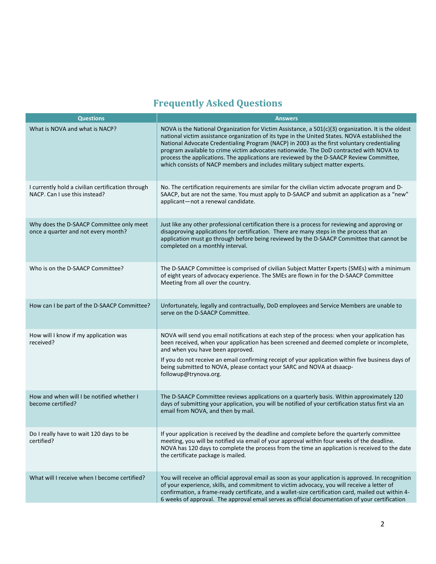# **Frequently Asked Questions**

| <b>Questions</b>                                                                   | <b>Answers</b>                                                                                                                                                                                                                                                                                                                                                                                                                                                                                                                                                              |
|------------------------------------------------------------------------------------|-----------------------------------------------------------------------------------------------------------------------------------------------------------------------------------------------------------------------------------------------------------------------------------------------------------------------------------------------------------------------------------------------------------------------------------------------------------------------------------------------------------------------------------------------------------------------------|
| What is NOVA and what is NACP?                                                     | NOVA is the National Organization for Victim Assistance, a 501(c)(3) organization. It is the oldest<br>national victim assistance organization of its type in the United States. NOVA established the<br>National Advocate Credentialing Program (NACP) in 2003 as the first voluntary credentialing<br>program available to crime victim advocates nationwide. The DoD contracted with NOVA to<br>process the applications. The applications are reviewed by the D-SAACP Review Committee,<br>which consists of NACP members and includes military subject matter experts. |
| I currently hold a civilian certification through<br>NACP. Can I use this instead? | No. The certification requirements are similar for the civilian victim advocate program and D-<br>SAACP, but are not the same. You must apply to D-SAACP and submit an application as a "new"<br>applicant-not a renewal candidate.                                                                                                                                                                                                                                                                                                                                         |
| Why does the D-SAACP Committee only meet<br>once a quarter and not every month?    | Just like any other professional certification there is a process for reviewing and approving or<br>disapproving applications for certification. There are many steps in the process that an<br>application must go through before being reviewed by the D-SAACP Committee that cannot be<br>completed on a monthly interval.                                                                                                                                                                                                                                               |
| Who is on the D-SAACP Committee?                                                   | The D-SAACP Committee is comprised of civilian Subject Matter Experts (SMEs) with a minimum<br>of eight years of advocacy experience. The SMEs are flown in for the D-SAACP Committee<br>Meeting from all over the country.                                                                                                                                                                                                                                                                                                                                                 |
| How can I be part of the D-SAACP Committee?                                        | Unfortunately, legally and contractually, DoD employees and Service Members are unable to<br>serve on the D-SAACP Committee.                                                                                                                                                                                                                                                                                                                                                                                                                                                |
| How will I know if my application was<br>received?                                 | NOVA will send you email notifications at each step of the process: when your application has<br>been received, when your application has been screened and deemed complete or incomplete,<br>and when you have been approved.<br>If you do not receive an email confirming receipt of your application within five business days of<br>being submitted to NOVA, please contact your SARC and NOVA at dsaacp-<br>followup@trynova.org.                                                                                                                                      |
| How and when will I be notified whether I<br>become certified?                     | The D-SAACP Committee reviews applications on a quarterly basis. Within approximately 120<br>days of submitting your application, you will be notified of your certification status first via an<br>email from NOVA, and then by mail.                                                                                                                                                                                                                                                                                                                                      |
| Do I really have to wait 120 days to be<br>certified?                              | If your application is received by the deadline and complete before the quarterly committee<br>meeting, you will be notified via email of your approval within four weeks of the deadline.<br>NOVA has 120 days to complete the process from the time an application is received to the date<br>the certificate package is mailed.                                                                                                                                                                                                                                          |
| What will I receive when I become certified?                                       | You will receive an official approval email as soon as your application is approved. In recognition<br>of your experience, skills, and commitment to victim advocacy, you will receive a letter of<br>confirmation, a frame-ready certificate, and a wallet-size certification card, mailed out within 4-<br>6 weeks of approval. The approval email serves as official documentation of your certification                                                                                                                                                                 |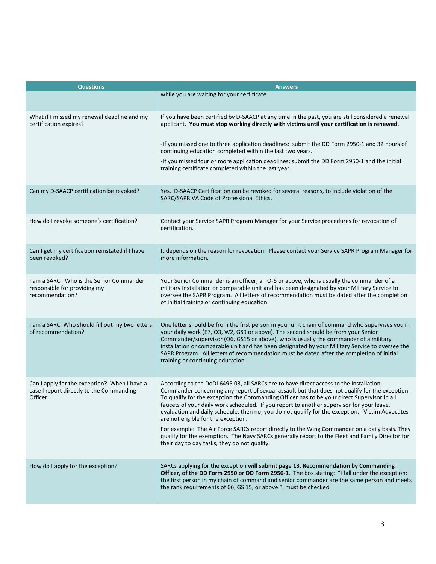| <b>Questions</b>                                                                                     | <b>Answers</b>                                                                                                                                                                                                                                                                                                                                                                                                                                                                                                                |
|------------------------------------------------------------------------------------------------------|-------------------------------------------------------------------------------------------------------------------------------------------------------------------------------------------------------------------------------------------------------------------------------------------------------------------------------------------------------------------------------------------------------------------------------------------------------------------------------------------------------------------------------|
|                                                                                                      | while you are waiting for your certificate.                                                                                                                                                                                                                                                                                                                                                                                                                                                                                   |
| What if I missed my renewal deadline and my<br>certification expires?                                | If you have been certified by D-SAACP at any time in the past, you are still considered a renewal<br>applicant. You must stop working directly with victims until your certification is renewed.                                                                                                                                                                                                                                                                                                                              |
|                                                                                                      | -If you missed one to three application deadlines: submit the DD Form 2950-1 and 32 hours of<br>continuing education completed within the last two years.                                                                                                                                                                                                                                                                                                                                                                     |
|                                                                                                      | -If you missed four or more application deadlines: submit the DD Form 2950-1 and the initial<br>training certificate completed within the last year.                                                                                                                                                                                                                                                                                                                                                                          |
| Can my D-SAACP certification be revoked?                                                             | Yes. D-SAACP Certification can be revoked for several reasons, to include violation of the<br>SARC/SAPR VA Code of Professional Ethics.                                                                                                                                                                                                                                                                                                                                                                                       |
| How do I revoke someone's certification?                                                             | Contact your Service SAPR Program Manager for your Service procedures for revocation of<br>certification.                                                                                                                                                                                                                                                                                                                                                                                                                     |
| Can I get my certification reinstated if I have<br>been revoked?                                     | It depends on the reason for revocation. Please contact your Service SAPR Program Manager for<br>more information.                                                                                                                                                                                                                                                                                                                                                                                                            |
| I am a SARC. Who is the Senior Commander<br>responsible for providing my<br>recommendation?          | Your Senior Commander is an officer, an O-6 or above, who is usually the commander of a<br>military installation or comparable unit and has been designated by your Military Service to<br>oversee the SAPR Program. All letters of recommendation must be dated after the completion<br>of initial training or continuing education.                                                                                                                                                                                         |
| I am a SARC. Who should fill out my two letters<br>of recommendation?                                | One letter should be from the first person in your unit chain of command who supervises you in<br>your daily work (E7, O3, W2, GS9 or above). The second should be from your Senior<br>Commander/supervisor (O6, GS15 or above), who is usually the commander of a military<br>installation or comparable unit and has been designated by your Military Service to oversee the<br>SAPR Program. All letters of recommendation must be dated after the completion of initial<br>training or continuing education.              |
| Can I apply for the exception? When I have a<br>case I report directly to the Commanding<br>Officer. | According to the DoDI 6495.03, all SARCs are to have direct access to the Installation<br>Commander concerning any report of sexual assault but that does not qualify for the exception.<br>To qualify for the exception the Commanding Officer has to be your direct Supervisor in all<br>faucets of your daily work scheduled. If you report to another supervisor for your leave,<br>evaluation and daily schedule, then no, you do not qualify for the exception. Victim Advocates<br>are not eligible for the exception. |
|                                                                                                      | For example: The Air Force SARCs report directly to the Wing Commander on a daily basis. They<br>qualify for the exemption. The Navy SARCs generally report to the Fleet and Family Director for<br>their day to day tasks, they do not qualify.                                                                                                                                                                                                                                                                              |
| How do I apply for the exception?                                                                    | SARCs applying for the exception will submit page 13, Recommendation by Commanding<br>Officer, of the DD Form 2950 or DD Form 2950-1. The box stating: "I fall under the exception:<br>the first person in my chain of command and senior commander are the same person and meets<br>the rank requirements of 06, GS 15, or above.", must be checked.                                                                                                                                                                         |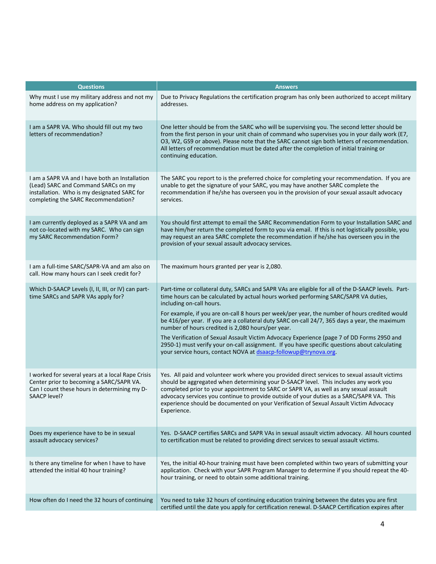| <b>Questions</b>                                                                                                                                                            | <b>Answers</b>                                                                                                                                                                                                                                                                                                                                                                                                                                                                                                                                                                                                                                                                                                                                  |
|-----------------------------------------------------------------------------------------------------------------------------------------------------------------------------|-------------------------------------------------------------------------------------------------------------------------------------------------------------------------------------------------------------------------------------------------------------------------------------------------------------------------------------------------------------------------------------------------------------------------------------------------------------------------------------------------------------------------------------------------------------------------------------------------------------------------------------------------------------------------------------------------------------------------------------------------|
| Why must I use my military address and not my<br>home address on my application?                                                                                            | Due to Privacy Regulations the certification program has only been authorized to accept military<br>addresses.                                                                                                                                                                                                                                                                                                                                                                                                                                                                                                                                                                                                                                  |
| I am a SAPR VA. Who should fill out my two<br>letters of recommendation?                                                                                                    | One letter should be from the SARC who will be supervising you. The second letter should be<br>from the first person in your unit chain of command who supervises you in your daily work (E7,<br>O3, W2, GS9 or above). Please note that the SARC cannot sign both letters of recommendation.<br>All letters of recommendation must be dated after the completion of initial training or<br>continuing education.                                                                                                                                                                                                                                                                                                                               |
| I am a SAPR VA and I have both an Installation<br>(Lead) SARC and Command SARCs on my<br>installation. Who is my designated SARC for<br>completing the SARC Recommendation? | The SARC you report to is the preferred choice for completing your recommendation. If you are<br>unable to get the signature of your SARC, you may have another SARC complete the<br>recommendation if he/she has overseen you in the provision of your sexual assault advocacy<br>services.                                                                                                                                                                                                                                                                                                                                                                                                                                                    |
| I am currently deployed as a SAPR VA and am<br>not co-located with my SARC. Who can sign<br>my SARC Recommendation Form?                                                    | You should first attempt to email the SARC Recommendation Form to your Installation SARC and<br>have him/her return the completed form to you via email. If this is not logistically possible, you<br>may request an area SARC complete the recommendation if he/she has overseen you in the<br>provision of your sexual assault advocacy services.                                                                                                                                                                                                                                                                                                                                                                                             |
| I am a full-time SARC/SAPR-VA and am also on<br>call. How many hours can I seek credit for?                                                                                 | The maximum hours granted per year is 2,080.                                                                                                                                                                                                                                                                                                                                                                                                                                                                                                                                                                                                                                                                                                    |
| Which D-SAACP Levels (I, II, III, or IV) can part-<br>time SARCs and SAPR VAs apply for?                                                                                    | Part-time or collateral duty, SARCs and SAPR VAs are eligible for all of the D-SAACP levels. Part-<br>time hours can be calculated by actual hours worked performing SARC/SAPR VA duties,<br>including on-call hours.<br>For example, if you are on-call 8 hours per week/per year, the number of hours credited would<br>be 416/per year. If you are a collateral duty SARC on-call 24/7, 365 days a year, the maximum<br>number of hours credited is 2,080 hours/per year.<br>The Verification of Sexual Assault Victim Advocacy Experience (page 7 of DD Forms 2950 and<br>2950-1) must verify your on-call assignment. If you have specific questions about calculating<br>your service hours, contact NOVA at dsaacp-followup@trynova.org. |
| I worked for several years at a local Rape Crisis<br>Center prior to becoming a SARC/SAPR VA.<br>Can I count these hours in determining my D-<br>SAACP level?               | Yes. All paid and volunteer work where you provided direct services to sexual assault victims<br>should be aggregated when determining your D-SAACP level. This includes any work you<br>completed prior to your appointment to SARC or SAPR VA, as well as any sexual assault<br>advocacy services you continue to provide outside of your duties as a SARC/SAPR VA. This<br>experience should be documented on your Verification of Sexual Assault Victim Advocacy<br>Experience.                                                                                                                                                                                                                                                             |
| Does my experience have to be in sexual<br>assault advocacy services?                                                                                                       | Yes. D-SAACP certifies SARCs and SAPR VAs in sexual assault victim advocacy. All hours counted<br>to certification must be related to providing direct services to sexual assault victims.                                                                                                                                                                                                                                                                                                                                                                                                                                                                                                                                                      |
| Is there any timeline for when I have to have<br>attended the initial 40 hour training?                                                                                     | Yes, the initial 40-hour training must have been completed within two years of submitting your<br>application. Check with your SAPR Program Manager to determine if you should repeat the 40-<br>hour training, or need to obtain some additional training.                                                                                                                                                                                                                                                                                                                                                                                                                                                                                     |
| How often do I need the 32 hours of continuing                                                                                                                              | You need to take 32 hours of continuing education training between the dates you are first<br>certified until the date you apply for certification renewal. D-SAACP Certification expires after                                                                                                                                                                                                                                                                                                                                                                                                                                                                                                                                                 |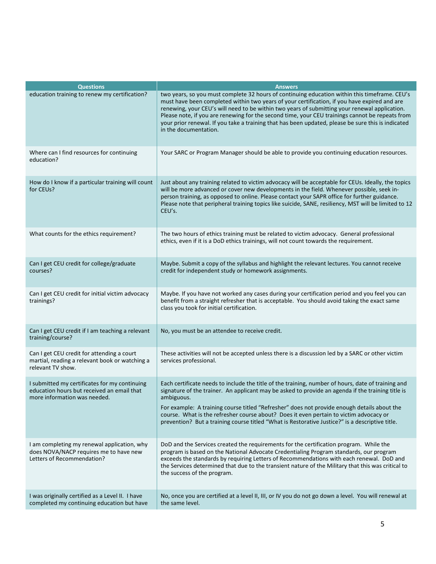| <b>Questions</b>                                                                                                            | <b>Answers</b>                                                                                                                                                                                                                                                                                                                                                                                                                                                                                                                   |
|-----------------------------------------------------------------------------------------------------------------------------|----------------------------------------------------------------------------------------------------------------------------------------------------------------------------------------------------------------------------------------------------------------------------------------------------------------------------------------------------------------------------------------------------------------------------------------------------------------------------------------------------------------------------------|
| education training to renew my certification?                                                                               | two years, so you must complete 32 hours of continuing education within this timeframe. CEU's<br>must have been completed within two years of your certification, if you have expired and are<br>renewing, your CEU's will need to be within two years of submitting your renewal application.<br>Please note, if you are renewing for the second time, your CEU trainings cannot be repeats from<br>your prior renewal. If you take a training that has been updated, please be sure this is indicated<br>in the documentation. |
| Where can I find resources for continuing<br>education?                                                                     | Your SARC or Program Manager should be able to provide you continuing education resources.                                                                                                                                                                                                                                                                                                                                                                                                                                       |
| How do I know if a particular training will count<br>for CEUs?                                                              | Just about any training related to victim advocacy will be acceptable for CEUs. Ideally, the topics<br>will be more advanced or cover new developments in the field. Whenever possible, seek in-<br>person training, as opposed to online. Please contact your SAPR office for further guidance.<br>Please note that peripheral training topics like suicide, SANE, resiliency, MST will be limited to 12<br>CEU's.                                                                                                              |
| What counts for the ethics requirement?                                                                                     | The two hours of ethics training must be related to victim advocacy. General professional<br>ethics, even if it is a DoD ethics trainings, will not count towards the requirement.                                                                                                                                                                                                                                                                                                                                               |
| Can I get CEU credit for college/graduate<br>courses?                                                                       | Maybe. Submit a copy of the syllabus and highlight the relevant lectures. You cannot receive<br>credit for independent study or homework assignments.                                                                                                                                                                                                                                                                                                                                                                            |
| Can I get CEU credit for initial victim advocacy<br>trainings?                                                              | Maybe. If you have not worked any cases during your certification period and you feel you can<br>benefit from a straight refresher that is acceptable. You should avoid taking the exact same<br>class you took for initial certification.                                                                                                                                                                                                                                                                                       |
| Can I get CEU credit if I am teaching a relevant<br>training/course?                                                        | No, you must be an attendee to receive credit.                                                                                                                                                                                                                                                                                                                                                                                                                                                                                   |
| Can I get CEU credit for attending a court<br>martial, reading a relevant book or watching a<br>relevant TV show.           | These activities will not be accepted unless there is a discussion led by a SARC or other victim<br>services professional.                                                                                                                                                                                                                                                                                                                                                                                                       |
| I submitted my certificates for my continuing<br>education hours but received an email that<br>more information was needed. | Each certificate needs to include the title of the training, number of hours, date of training and<br>signature of the trainer. An applicant may be asked to provide an agenda if the training title is<br>ambiguous.<br>For example: A training course titled "Refresher" does not provide enough details about the<br>course. What is the refresher course about? Does it even pertain to victim advocacy or<br>prevention? But a training course titled "What is Restorative Justice?" is a descriptive title.                |
| I am completing my renewal application, why<br>does NOVA/NACP requires me to have new<br>Letters of Recommendation?         | DoD and the Services created the requirements for the certification program. While the<br>program is based on the National Advocate Credentialing Program standards, our program<br>exceeds the standards by requiring Letters of Recommendations with each renewal. DoD and<br>the Services determined that due to the transient nature of the Military that this was critical to<br>the success of the program.                                                                                                                |
| I was originally certified as a Level II. I have<br>completed my continuing education but have                              | No, once you are certified at a level II, III, or IV you do not go down a level. You will renewal at<br>the same level.                                                                                                                                                                                                                                                                                                                                                                                                          |